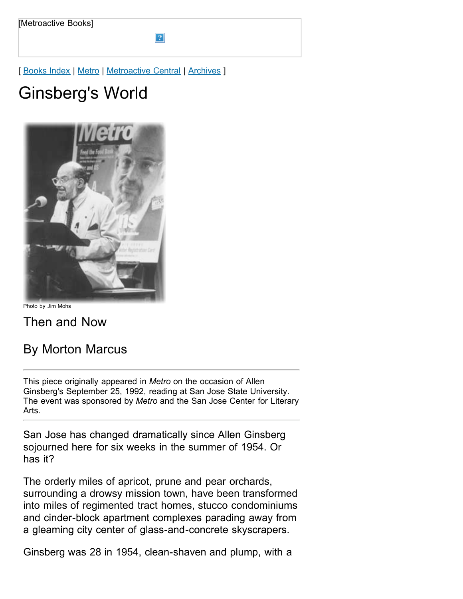[ [Books Index](http://metroactive.com/books/) | [Metro](http://www.metroactive.com/papers/metro/04.10.97/index.html) | [Metroactive Central](http://metroactive.com/) | [Archives](http://metroactive.com/papers/metro/archives.html) ]

# Ginsberg's World



Photo by Jim Mohs

Then and Now

# By Morton Marcus

This piece originally appeared in *Metro* on the occasion of Allen Ginsberg's September 25, 1992, reading at San Jose State University. The event was sponsored by *Metro* and the San Jose Center for Literary Arts.

San Jose has changed dramatically since Allen Ginsberg sojourned here for six weeks in the summer of 1954. Or has it?

The orderly miles of apricot, prune and pear orchards, surrounding a drowsy mission town, have been transformed into miles of regimented tract homes, stucco condominiums and cinder-block apartment complexes parading away from a gleaming city center of glass-and-concrete skyscrapers.

Ginsberg was 28 in 1954, clean-shaven and plump, with a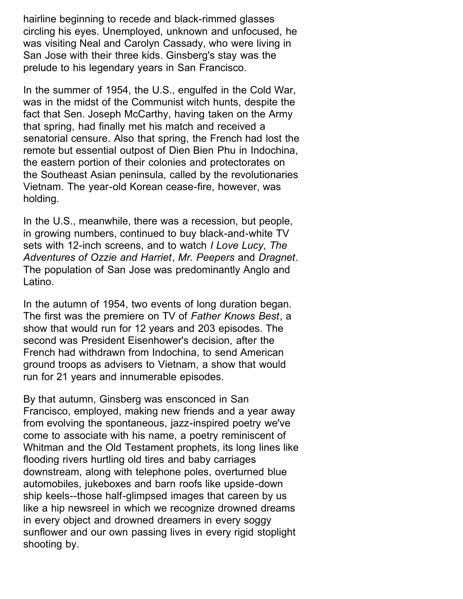hairline beginning to recede and black-rimmed glasses circling his eyes. Unemployed, unknown and unfocused, he was visiting Neal and Carolyn Cassady, who were living in San Jose with their three kids. Ginsberg's stay was the prelude to his legendary years in San Francisco.

In the summer of 1954, the U.S., engulfed in the Cold War, was in the midst of the Communist witch hunts, despite the fact that Sen. Joseph McCarthy, having taken on the Army that spring, had finally met his match and received a senatorial censure. Also that spring, the French had lost the remote but essential outpost of Dien Bien Phu in Indochina, the eastern portion of their colonies and protectorates on the Southeast Asian peninsula, called by the revolutionaries Vietnam. The year-old Korean cease-fire, however, was holding.

In the U.S., meanwhile, there was a recession, but people, in growing numbers, continued to buy black-and-white TV sets with 12-inch screens, and to watch *I Love Lucy*, *The Adventures of Ozzie and Harriet*, *Mr. Peepers* and *Dragnet*. The population of San Jose was predominantly Anglo and Latino.

In the autumn of 1954, two events of long duration began. The first was the premiere on TV of *Father Knows Best*, a show that would run for 12 years and 203 episodes. The second was President Eisenhower's decision, after the French had withdrawn from Indochina, to send American ground troops as advisers to Vietnam, a show that would run for 21 years and innumerable episodes.

By that autumn, Ginsberg was ensconced in San Francisco, employed, making new friends and a year away from evolving the spontaneous, jazz-inspired poetry we've come to associate with his name, a poetry reminiscent of Whitman and the Old Testament prophets, its long lines like flooding rivers hurtling old tires and baby carriages downstream, along with telephone poles, overturned blue automobiles, jukeboxes and barn roofs like upside-down ship keels--those half-glimpsed images that careen by us like a hip newsreel in which we recognize drowned dreams in every object and drowned dreamers in every soggy sunflower and our own passing lives in every rigid stoplight shooting by.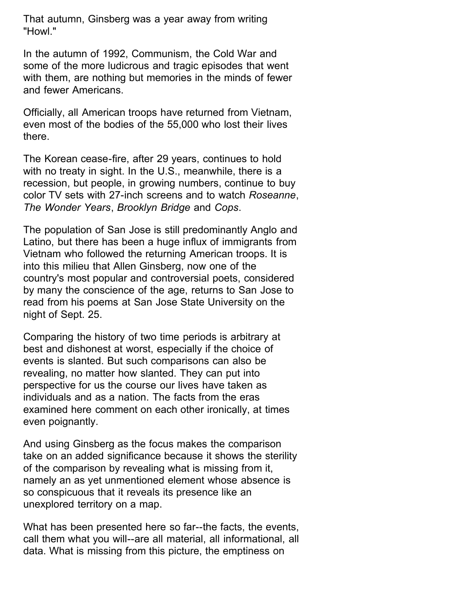That autumn, Ginsberg was a year away from writing "Howl."

In the autumn of 1992, Communism, the Cold War and some of the more ludicrous and tragic episodes that went with them, are nothing but memories in the minds of fewer and fewer Americans.

Officially, all American troops have returned from Vietnam, even most of the bodies of the 55,000 who lost their lives there.

The Korean cease-fire, after 29 years, continues to hold with no treaty in sight. In the U.S., meanwhile, there is a recession, but people, in growing numbers, continue to buy color TV sets with 27-inch screens and to watch *Roseanne*, *The Wonder Years*, *Brooklyn Bridge* and *Cops*.

The population of San Jose is still predominantly Anglo and Latino, but there has been a huge influx of immigrants from Vietnam who followed the returning American troops. It is into this milieu that Allen Ginsberg, now one of the country's most popular and controversial poets, considered by many the conscience of the age, returns to San Jose to read from his poems at San Jose State University on the night of Sept. 25.

Comparing the history of two time periods is arbitrary at best and dishonest at worst, especially if the choice of events is slanted. But such comparisons can also be revealing, no matter how slanted. They can put into perspective for us the course our lives have taken as individuals and as a nation. The facts from the eras examined here comment on each other ironically, at times even poignantly.

And using Ginsberg as the focus makes the comparison take on an added significance because it shows the sterility of the comparison by revealing what is missing from it, namely an as yet unmentioned element whose absence is so conspicuous that it reveals its presence like an unexplored territory on a map.

What has been presented here so far--the facts, the events, call them what you will--are all material, all informational, all data. What is missing from this picture, the emptiness on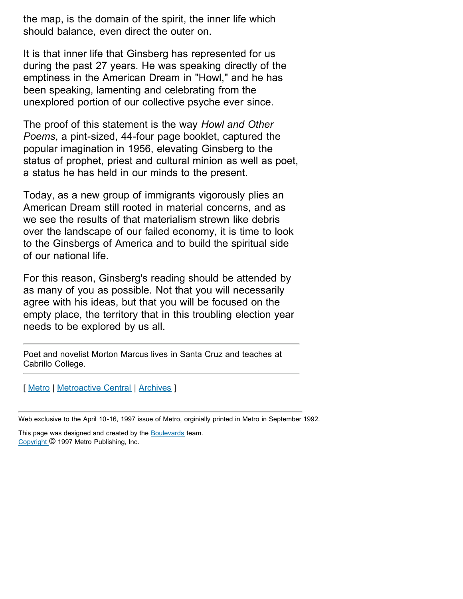the map, is the domain of the spirit, the inner life which should balance, even direct the outer on.

It is that inner life that Ginsberg has represented for us during the past 27 years. He was speaking directly of the emptiness in the American Dream in "Howl," and he has been speaking, lamenting and celebrating from the unexplored portion of our collective psyche ever since.

The proof of this statement is the way *Howl and Other Poems*, a pint-sized, 44-four page booklet, captured the popular imagination in 1956, elevating Ginsberg to the status of prophet, priest and cultural minion as well as poet, a status he has held in our minds to the present.

Today, as a new group of immigrants vigorously plies an American Dream still rooted in material concerns, and as we see the results of that materialism strewn like debris over the landscape of our failed economy, it is time to look to the Ginsbergs of America and to build the spiritual side of our national life.

For this reason, Ginsberg's reading should be attended by as many of you as possible. Not that you will necessarily agree with his ideas, but that you will be focused on the empty place, the territory that in this troubling election year needs to be explored by us all.

Poet and novelist Morton Marcus lives in Santa Cruz and teaches at Cabrillo College.

[ [Metro](http://www.metroactive.com/papers/metro/04.10.97/index.html) | [Metroactive Central](http://metroactive.com/) | [Archives](http://metroactive.com/papers/metro/archives.html) ]

Web exclusive to the April 10-16, 1997 issue of Metro, orginially printed in Metro in September 1992.

This page was designed and created by the **[Boulevards](http://www.boulevards.com/bnm/)** team. [Copyright](http://metroactive.com/full.copyright.html) © 1997 Metro Publishing, Inc.